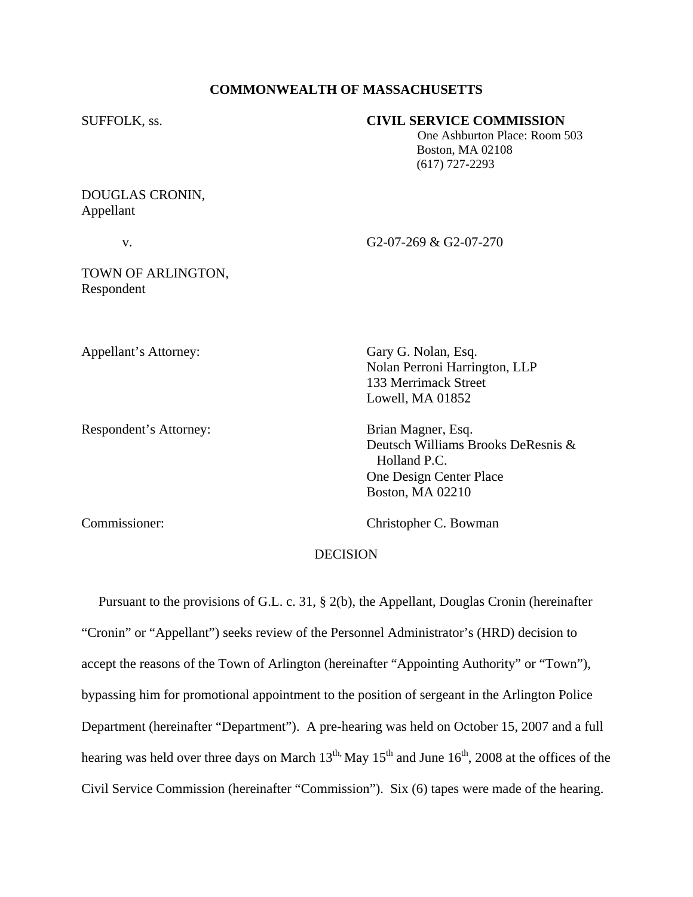## **COMMONWEALTH OF MASSACHUSETTS**

### SUFFOLK, ss. **CIVIL SERVICE COMMISSION**

 One Ashburton Place: Room 503 Boston, MA 02108 (617) 727-2293

# DOUGLAS CRONIN, Appellant

v. G2-07-269 & G2-07-270

# TOWN OF ARLINGTON, Respondent

Appellant's Attorney: Gary G. Nolan, Esq.

Respondent's Attorney: Brian Magner, Esq.

 Nolan Perroni Harrington, LLP 133 Merrimack Street Lowell, MA 01852

Deutsch Williams Brooks DeResnis & Holland P.C. One Design Center Place Boston, MA 02210

Commissioner: Christopher C. Bowman

# DECISION

 Pursuant to the provisions of G.L. c. 31, § 2(b), the Appellant, Douglas Cronin (hereinafter "Cronin" or "Appellant") seeks review of the Personnel Administrator's (HRD) decision to accept the reasons of the Town of Arlington (hereinafter "Appointing Authority" or "Town"), bypassing him for promotional appointment to the position of sergeant in the Arlington Police Department (hereinafter "Department"). A pre-hearing was held on October 15, 2007 and a full hearing was held over three days on March  $13<sup>th</sup>$ . May  $15<sup>th</sup>$  and June  $16<sup>th</sup>$ , 2008 at the offices of the Civil Service Commission (hereinafter "Commission"). Six (6) tapes were made of the hearing.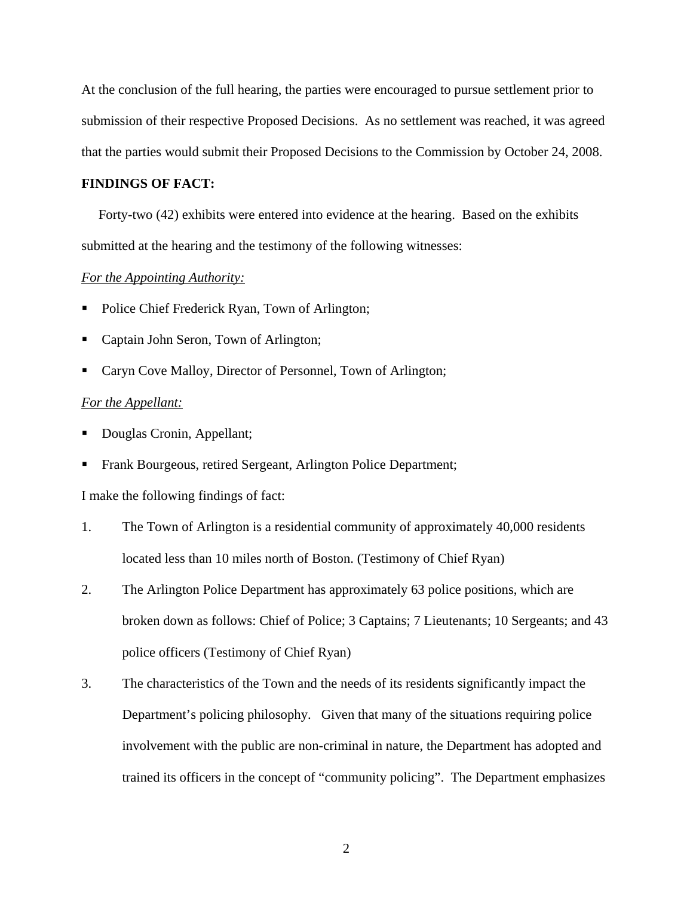At the conclusion of the full hearing, the parties were encouraged to pursue settlement prior to submission of their respective Proposed Decisions. As no settlement was reached, it was agreed that the parties would submit their Proposed Decisions to the Commission by October 24, 2008.

#### **FINDINGS OF FACT:**

Forty-two (42) exhibits were entered into evidence at the hearing. Based on the exhibits submitted at the hearing and the testimony of the following witnesses:

#### *For the Appointing Authority:*

- Police Chief Frederick Ryan, Town of Arlington;
- Captain John Seron, Town of Arlington;
- Caryn Cove Malloy, Director of Personnel, Town of Arlington;

#### *For the Appellant:*

- Douglas Cronin, Appellant;
- Frank Bourgeous, retired Sergeant, Arlington Police Department;

I make the following findings of fact:

- 1. The Town of Arlington is a residential community of approximately 40,000 residents located less than 10 miles north of Boston. (Testimony of Chief Ryan)
- 2. The Arlington Police Department has approximately 63 police positions, which are broken down as follows: Chief of Police; 3 Captains; 7 Lieutenants; 10 Sergeants; and 43 police officers (Testimony of Chief Ryan)
- 3. The characteristics of the Town and the needs of its residents significantly impact the Department's policing philosophy. Given that many of the situations requiring police involvement with the public are non-criminal in nature, the Department has adopted and trained its officers in the concept of "community policing". The Department emphasizes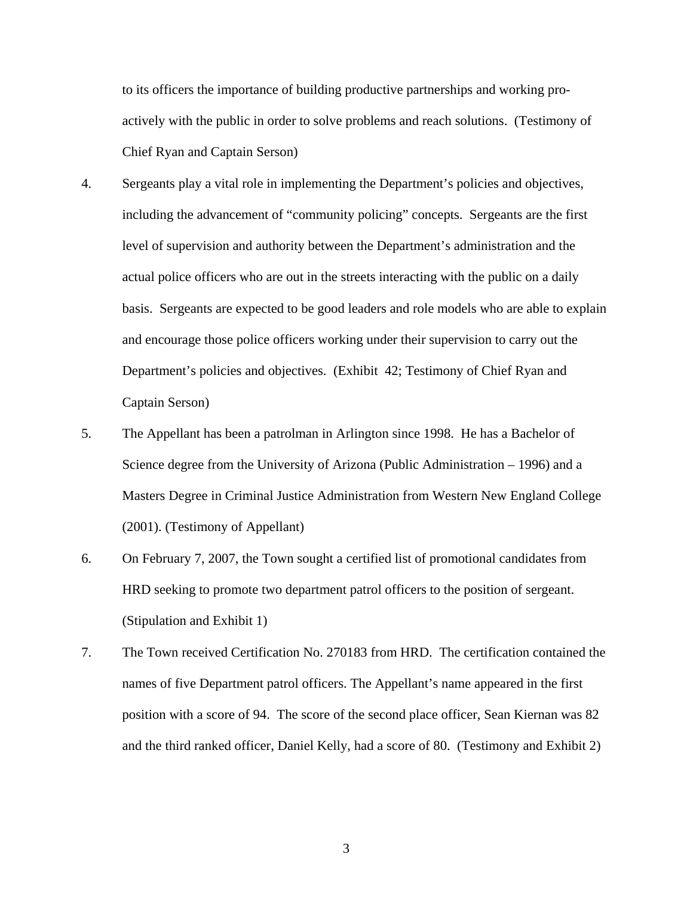to its officers the importance of building productive partnerships and working proactively with the public in order to solve problems and reach solutions. (Testimony of Chief Ryan and Captain Serson)

- 4. Sergeants play a vital role in implementing the Department's policies and objectives, including the advancement of "community policing" concepts. Sergeants are the first level of supervision and authority between the Department's administration and the actual police officers who are out in the streets interacting with the public on a daily basis. Sergeants are expected to be good leaders and role models who are able to explain and encourage those police officers working under their supervision to carry out the Department's policies and objectives. (Exhibit 42; Testimony of Chief Ryan and Captain Serson)
- 5. The Appellant has been a patrolman in Arlington since 1998. He has a Bachelor of Science degree from the University of Arizona (Public Administration – 1996) and a Masters Degree in Criminal Justice Administration from Western New England College (2001). (Testimony of Appellant)
- 6. On February 7, 2007, the Town sought a certified list of promotional candidates from HRD seeking to promote two department patrol officers to the position of sergeant. (Stipulation and Exhibit 1)
- 7. The Town received Certification No. 270183 from HRD. The certification contained the names of five Department patrol officers. The Appellant's name appeared in the first position with a score of 94. The score of the second place officer, Sean Kiernan was 82 and the third ranked officer, Daniel Kelly, had a score of 80. (Testimony and Exhibit 2)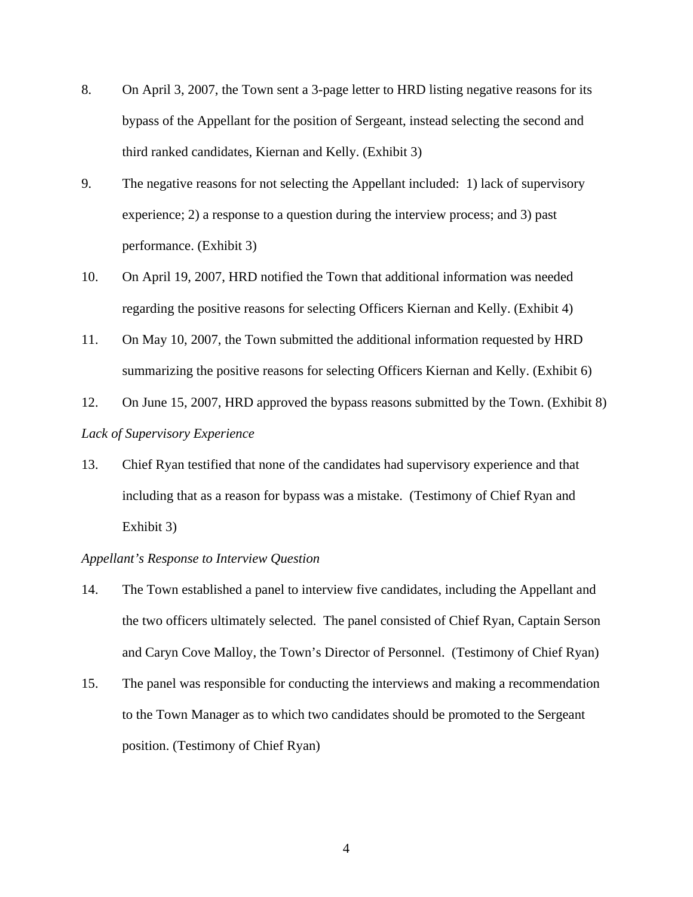- 8. On April 3, 2007, the Town sent a 3-page letter to HRD listing negative reasons for its bypass of the Appellant for the position of Sergeant, instead selecting the second and third ranked candidates, Kiernan and Kelly. (Exhibit 3)
- 9. The negative reasons for not selecting the Appellant included: 1) lack of supervisory experience; 2) a response to a question during the interview process; and 3) past performance. (Exhibit 3)
- 10. On April 19, 2007, HRD notified the Town that additional information was needed regarding the positive reasons for selecting Officers Kiernan and Kelly. (Exhibit 4)
- 11. On May 10, 2007, the Town submitted the additional information requested by HRD summarizing the positive reasons for selecting Officers Kiernan and Kelly. (Exhibit 6)
- 12. On June 15, 2007, HRD approved the bypass reasons submitted by the Town. (Exhibit 8) *Lack of Supervisory Experience*
- 13. Chief Ryan testified that none of the candidates had supervisory experience and that including that as a reason for bypass was a mistake. (Testimony of Chief Ryan and Exhibit 3)

## *Appellant's Response to Interview Question*

- 14. The Town established a panel to interview five candidates, including the Appellant and the two officers ultimately selected. The panel consisted of Chief Ryan, Captain Serson and Caryn Cove Malloy, the Town's Director of Personnel. (Testimony of Chief Ryan)
- 15. The panel was responsible for conducting the interviews and making a recommendation to the Town Manager as to which two candidates should be promoted to the Sergeant position. (Testimony of Chief Ryan)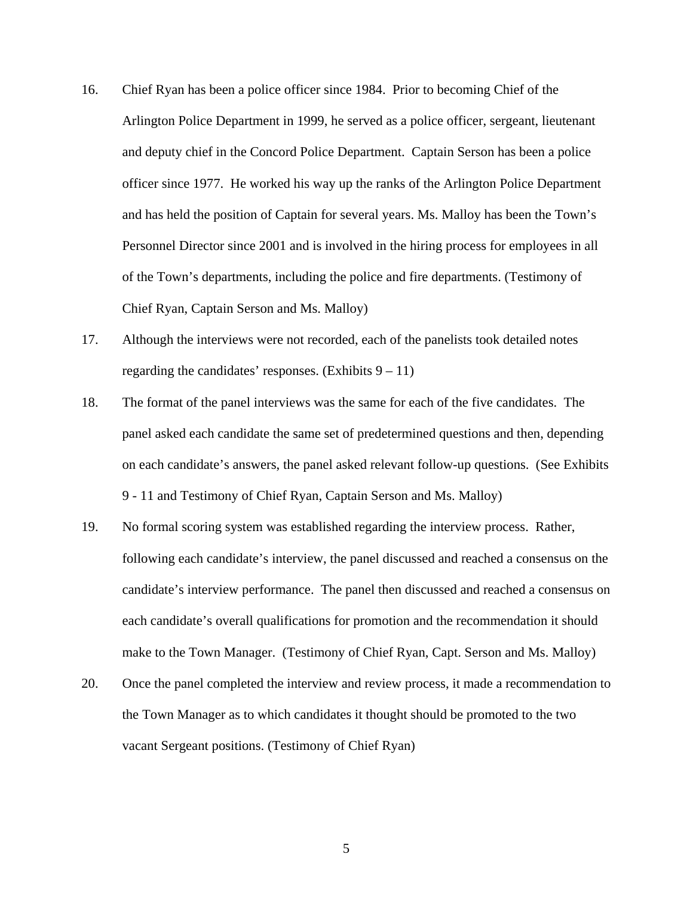- 16. Chief Ryan has been a police officer since 1984. Prior to becoming Chief of the Arlington Police Department in 1999, he served as a police officer, sergeant, lieutenant and deputy chief in the Concord Police Department. Captain Serson has been a police officer since 1977. He worked his way up the ranks of the Arlington Police Department and has held the position of Captain for several years. Ms. Malloy has been the Town's Personnel Director since 2001 and is involved in the hiring process for employees in all of the Town's departments, including the police and fire departments. (Testimony of Chief Ryan, Captain Serson and Ms. Malloy)
- 17. Although the interviews were not recorded, each of the panelists took detailed notes regarding the candidates' responses. (Exhibits  $9 - 11$ )
- 18. The format of the panel interviews was the same for each of the five candidates. The panel asked each candidate the same set of predetermined questions and then, depending on each candidate's answers, the panel asked relevant follow-up questions. (See Exhibits 9 - 11 and Testimony of Chief Ryan, Captain Serson and Ms. Malloy)
- 19. No formal scoring system was established regarding the interview process. Rather, following each candidate's interview, the panel discussed and reached a consensus on the candidate's interview performance. The panel then discussed and reached a consensus on each candidate's overall qualifications for promotion and the recommendation it should make to the Town Manager. (Testimony of Chief Ryan, Capt. Serson and Ms. Malloy)
- 20. Once the panel completed the interview and review process, it made a recommendation to the Town Manager as to which candidates it thought should be promoted to the two vacant Sergeant positions. (Testimony of Chief Ryan)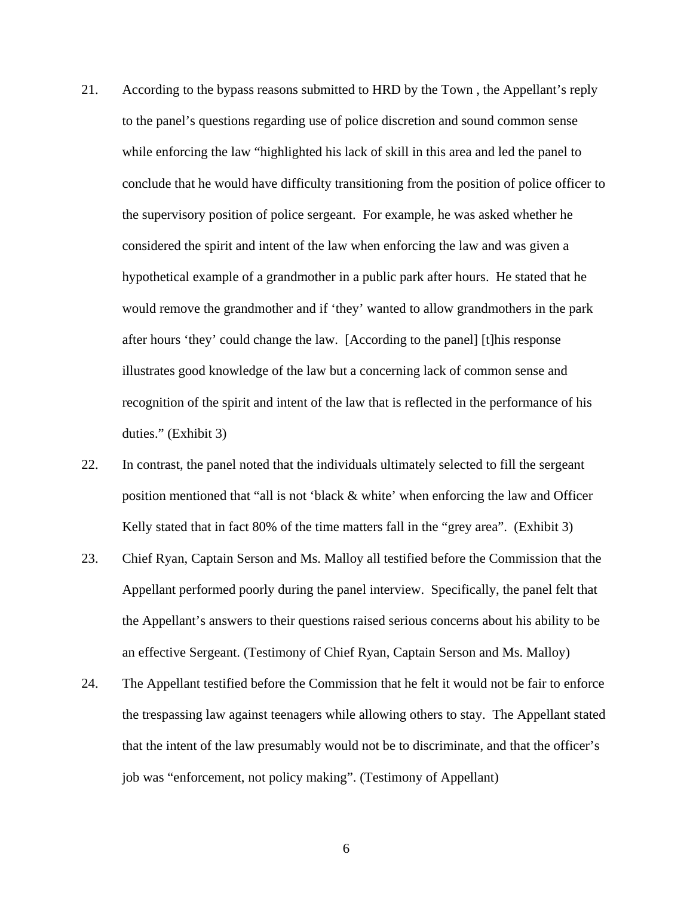- 21. According to the bypass reasons submitted to HRD by the Town , the Appellant's reply to the panel's questions regarding use of police discretion and sound common sense while enforcing the law "highlighted his lack of skill in this area and led the panel to conclude that he would have difficulty transitioning from the position of police officer to the supervisory position of police sergeant. For example, he was asked whether he considered the spirit and intent of the law when enforcing the law and was given a hypothetical example of a grandmother in a public park after hours. He stated that he would remove the grandmother and if 'they' wanted to allow grandmothers in the park after hours 'they' could change the law. [According to the panel] [t]his response illustrates good knowledge of the law but a concerning lack of common sense and recognition of the spirit and intent of the law that is reflected in the performance of his duties." (Exhibit 3)
- 22. In contrast, the panel noted that the individuals ultimately selected to fill the sergeant position mentioned that "all is not 'black & white' when enforcing the law and Officer Kelly stated that in fact 80% of the time matters fall in the "grey area". (Exhibit 3)
- 23. Chief Ryan, Captain Serson and Ms. Malloy all testified before the Commission that the Appellant performed poorly during the panel interview. Specifically, the panel felt that the Appellant's answers to their questions raised serious concerns about his ability to be an effective Sergeant. (Testimony of Chief Ryan, Captain Serson and Ms. Malloy)
- 24. The Appellant testified before the Commission that he felt it would not be fair to enforce the trespassing law against teenagers while allowing others to stay. The Appellant stated that the intent of the law presumably would not be to discriminate, and that the officer's job was "enforcement, not policy making". (Testimony of Appellant)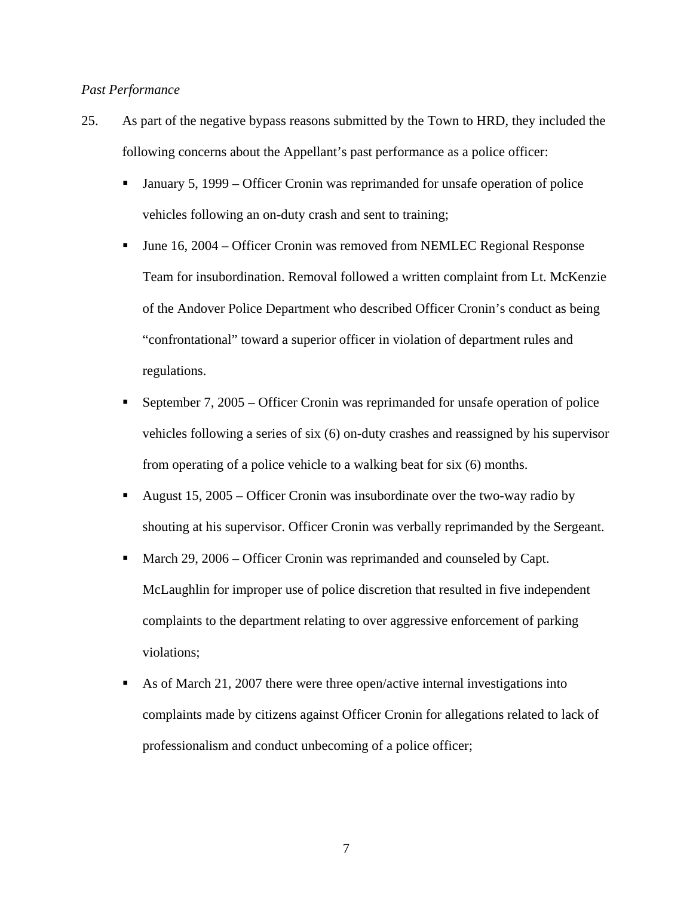## *Past Performance*

- 25. As part of the negative bypass reasons submitted by the Town to HRD, they included the following concerns about the Appellant's past performance as a police officer:
	- January 5, 1999 Officer Cronin was reprimanded for unsafe operation of police vehicles following an on-duty crash and sent to training;
	- June 16, 2004 Officer Cronin was removed from NEMLEC Regional Response Team for insubordination. Removal followed a written complaint from Lt. McKenzie of the Andover Police Department who described Officer Cronin's conduct as being "confrontational" toward a superior officer in violation of department rules and regulations.
	- September 7, 2005 Officer Cronin was reprimanded for unsafe operation of police vehicles following a series of six (6) on-duty crashes and reassigned by his supervisor from operating of a police vehicle to a walking beat for six (6) months.
	- August 15, 2005 Officer Cronin was insubordinate over the two-way radio by shouting at his supervisor. Officer Cronin was verbally reprimanded by the Sergeant.
	- March 29, 2006 Officer Cronin was reprimanded and counseled by Capt. McLaughlin for improper use of police discretion that resulted in five independent complaints to the department relating to over aggressive enforcement of parking violations;
	- As of March 21, 2007 there were three open/active internal investigations into complaints made by citizens against Officer Cronin for allegations related to lack of professionalism and conduct unbecoming of a police officer;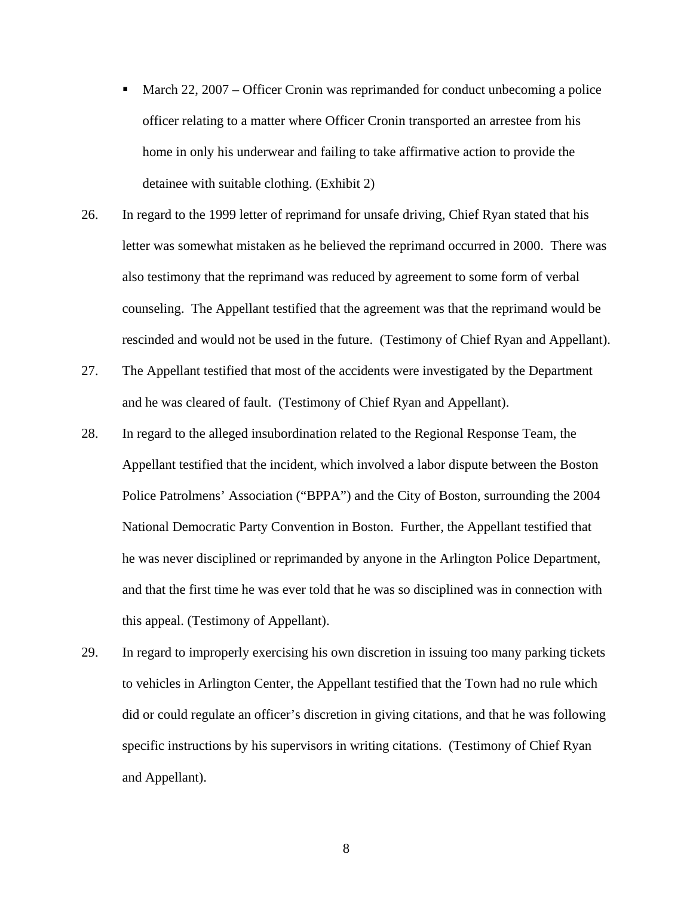- March 22, 2007 Officer Cronin was reprimanded for conduct unbecoming a police officer relating to a matter where Officer Cronin transported an arrestee from his home in only his underwear and failing to take affirmative action to provide the detainee with suitable clothing. (Exhibit 2)
- 26. In regard to the 1999 letter of reprimand for unsafe driving, Chief Ryan stated that his letter was somewhat mistaken as he believed the reprimand occurred in 2000. There was also testimony that the reprimand was reduced by agreement to some form of verbal counseling. The Appellant testified that the agreement was that the reprimand would be rescinded and would not be used in the future. (Testimony of Chief Ryan and Appellant).
- 27. The Appellant testified that most of the accidents were investigated by the Department and he was cleared of fault. (Testimony of Chief Ryan and Appellant).
- 28. In regard to the alleged insubordination related to the Regional Response Team, the Appellant testified that the incident, which involved a labor dispute between the Boston Police Patrolmens' Association ("BPPA") and the City of Boston, surrounding the 2004 National Democratic Party Convention in Boston. Further, the Appellant testified that he was never disciplined or reprimanded by anyone in the Arlington Police Department, and that the first time he was ever told that he was so disciplined was in connection with this appeal. (Testimony of Appellant).
- 29. In regard to improperly exercising his own discretion in issuing too many parking tickets to vehicles in Arlington Center, the Appellant testified that the Town had no rule which did or could regulate an officer's discretion in giving citations, and that he was following specific instructions by his supervisors in writing citations. (Testimony of Chief Ryan and Appellant).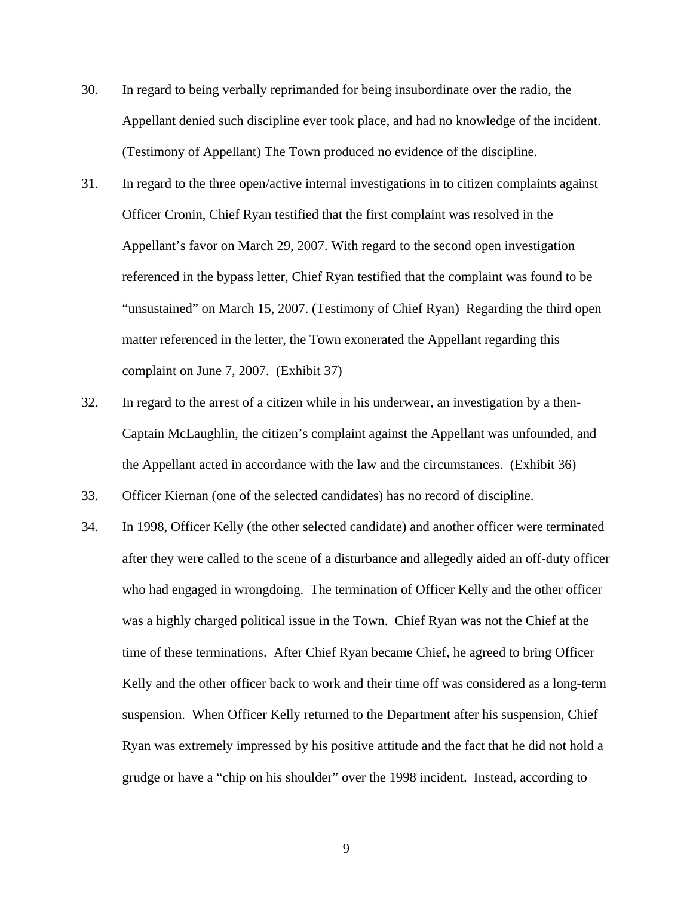- 30. In regard to being verbally reprimanded for being insubordinate over the radio, the Appellant denied such discipline ever took place, and had no knowledge of the incident. (Testimony of Appellant) The Town produced no evidence of the discipline.
- 31. In regard to the three open/active internal investigations in to citizen complaints against Officer Cronin, Chief Ryan testified that the first complaint was resolved in the Appellant's favor on March 29, 2007. With regard to the second open investigation referenced in the bypass letter, Chief Ryan testified that the complaint was found to be "unsustained" on March 15, 2007. (Testimony of Chief Ryan) Regarding the third open matter referenced in the letter, the Town exonerated the Appellant regarding this complaint on June 7, 2007. (Exhibit 37)
- 32. In regard to the arrest of a citizen while in his underwear, an investigation by a then-Captain McLaughlin, the citizen's complaint against the Appellant was unfounded, and the Appellant acted in accordance with the law and the circumstances. (Exhibit 36)
- 33. Officer Kiernan (one of the selected candidates) has no record of discipline.
- 34. In 1998, Officer Kelly (the other selected candidate) and another officer were terminated after they were called to the scene of a disturbance and allegedly aided an off-duty officer who had engaged in wrongdoing. The termination of Officer Kelly and the other officer was a highly charged political issue in the Town. Chief Ryan was not the Chief at the time of these terminations. After Chief Ryan became Chief, he agreed to bring Officer Kelly and the other officer back to work and their time off was considered as a long-term suspension. When Officer Kelly returned to the Department after his suspension, Chief Ryan was extremely impressed by his positive attitude and the fact that he did not hold a grudge or have a "chip on his shoulder" over the 1998 incident. Instead, according to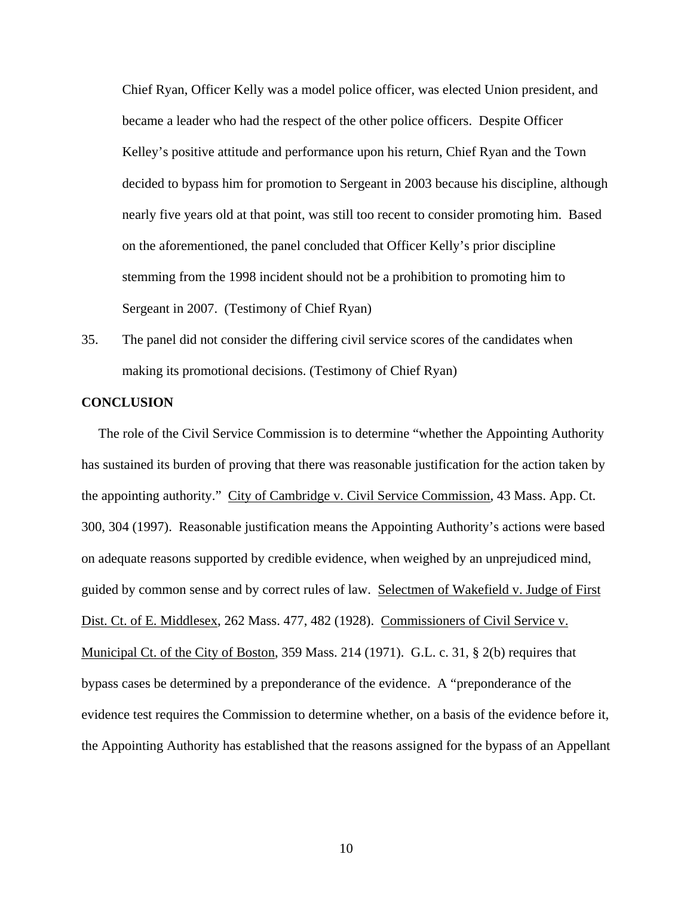Chief Ryan, Officer Kelly was a model police officer, was elected Union president, and became a leader who had the respect of the other police officers. Despite Officer Kelley's positive attitude and performance upon his return, Chief Ryan and the Town decided to bypass him for promotion to Sergeant in 2003 because his discipline, although nearly five years old at that point, was still too recent to consider promoting him. Based on the aforementioned, the panel concluded that Officer Kelly's prior discipline stemming from the 1998 incident should not be a prohibition to promoting him to Sergeant in 2007. (Testimony of Chief Ryan)

35. The panel did not consider the differing civil service scores of the candidates when making its promotional decisions. (Testimony of Chief Ryan)

#### **CONCLUSION**

 The role of the Civil Service Commission is to determine "whether the Appointing Authority has sustained its burden of proving that there was reasonable justification for the action taken by the appointing authority." City of Cambridge v. Civil Service Commission, 43 Mass. App. Ct. 300, 304 (1997). Reasonable justification means the Appointing Authority's actions were based on adequate reasons supported by credible evidence, when weighed by an unprejudiced mind, guided by common sense and by correct rules of law. Selectmen of Wakefield v. Judge of First Dist. Ct. of E. Middlesex, 262 Mass. 477, 482 (1928). Commissioners of Civil Service v. Municipal Ct. of the City of Boston, 359 Mass. 214 (1971). G.L. c. 31, § 2(b) requires that bypass cases be determined by a preponderance of the evidence. A "preponderance of the evidence test requires the Commission to determine whether, on a basis of the evidence before it, the Appointing Authority has established that the reasons assigned for the bypass of an Appellant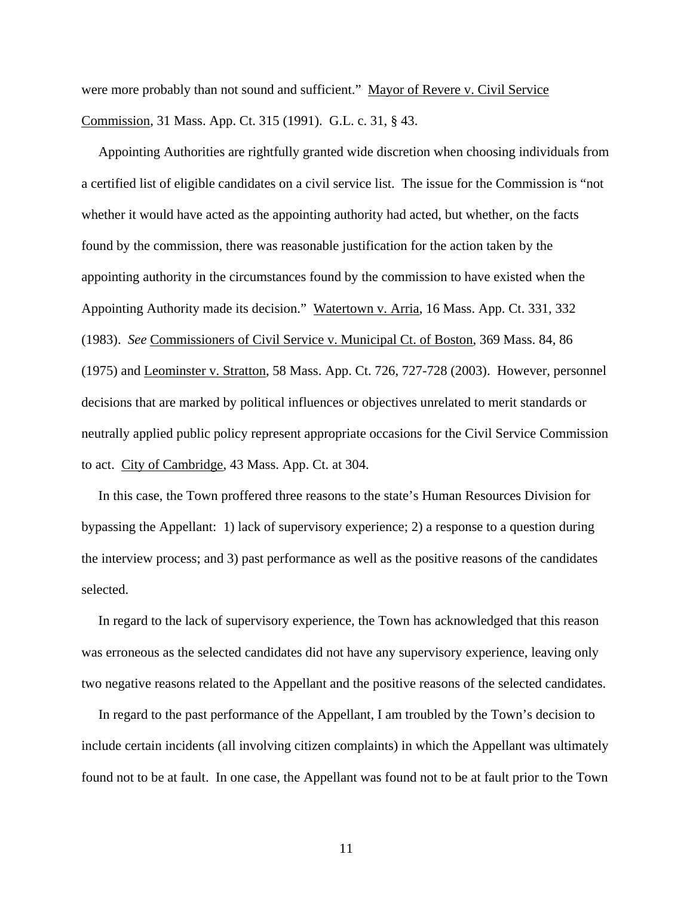were more probably than not sound and sufficient." Mayor of Revere v. Civil Service Commission, 31 Mass. App. Ct. 315 (1991). G.L. c. 31, § 43.

 Appointing Authorities are rightfully granted wide discretion when choosing individuals from a certified list of eligible candidates on a civil service list. The issue for the Commission is "not whether it would have acted as the appointing authority had acted, but whether, on the facts found by the commission, there was reasonable justification for the action taken by the appointing authority in the circumstances found by the commission to have existed when the Appointing Authority made its decision." Watertown v. Arria, 16 Mass. App. Ct. 331, 332 (1983). *See* Commissioners of Civil Service v. Municipal Ct. of Boston, 369 Mass. 84, 86 (1975) and Leominster v. Stratton, 58 Mass. App. Ct. 726, 727-728 (2003). However, personnel decisions that are marked by political influences or objectives unrelated to merit standards or neutrally applied public policy represent appropriate occasions for the Civil Service Commission to act. City of Cambridge, 43 Mass. App. Ct. at 304.

 In this case, the Town proffered three reasons to the state's Human Resources Division for bypassing the Appellant: 1) lack of supervisory experience; 2) a response to a question during the interview process; and 3) past performance as well as the positive reasons of the candidates selected.

 In regard to the lack of supervisory experience, the Town has acknowledged that this reason was erroneous as the selected candidates did not have any supervisory experience, leaving only two negative reasons related to the Appellant and the positive reasons of the selected candidates.

 In regard to the past performance of the Appellant, I am troubled by the Town's decision to include certain incidents (all involving citizen complaints) in which the Appellant was ultimately found not to be at fault. In one case, the Appellant was found not to be at fault prior to the Town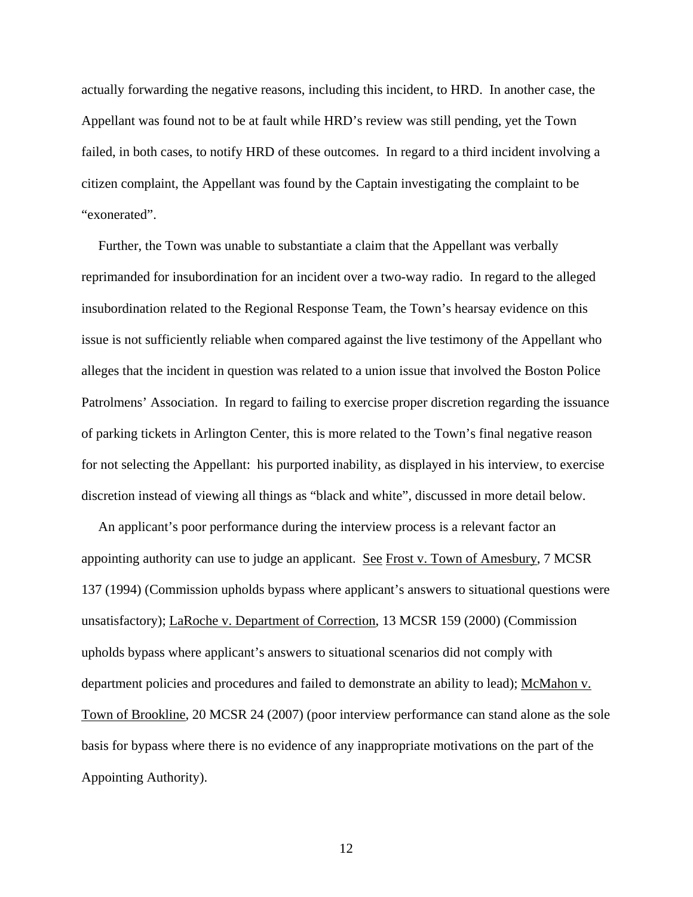actually forwarding the negative reasons, including this incident, to HRD. In another case, the Appellant was found not to be at fault while HRD's review was still pending, yet the Town failed, in both cases, to notify HRD of these outcomes. In regard to a third incident involving a citizen complaint, the Appellant was found by the Captain investigating the complaint to be "exonerated".

 Further, the Town was unable to substantiate a claim that the Appellant was verbally reprimanded for insubordination for an incident over a two-way radio. In regard to the alleged insubordination related to the Regional Response Team, the Town's hearsay evidence on this issue is not sufficiently reliable when compared against the live testimony of the Appellant who alleges that the incident in question was related to a union issue that involved the Boston Police Patrolmens' Association. In regard to failing to exercise proper discretion regarding the issuance of parking tickets in Arlington Center, this is more related to the Town's final negative reason for not selecting the Appellant: his purported inability, as displayed in his interview, to exercise discretion instead of viewing all things as "black and white", discussed in more detail below.

 An applicant's poor performance during the interview process is a relevant factor an appointing authority can use to judge an applicant. See Frost v. Town of Amesbury, 7 MCSR 137 (1994) (Commission upholds bypass where applicant's answers to situational questions were unsatisfactory); LaRoche v. Department of Correction, 13 MCSR 159 (2000) (Commission upholds bypass where applicant's answers to situational scenarios did not comply with department policies and procedures and failed to demonstrate an ability to lead); McMahon v. Town of Brookline, 20 MCSR 24 (2007) (poor interview performance can stand alone as the sole basis for bypass where there is no evidence of any inappropriate motivations on the part of the Appointing Authority).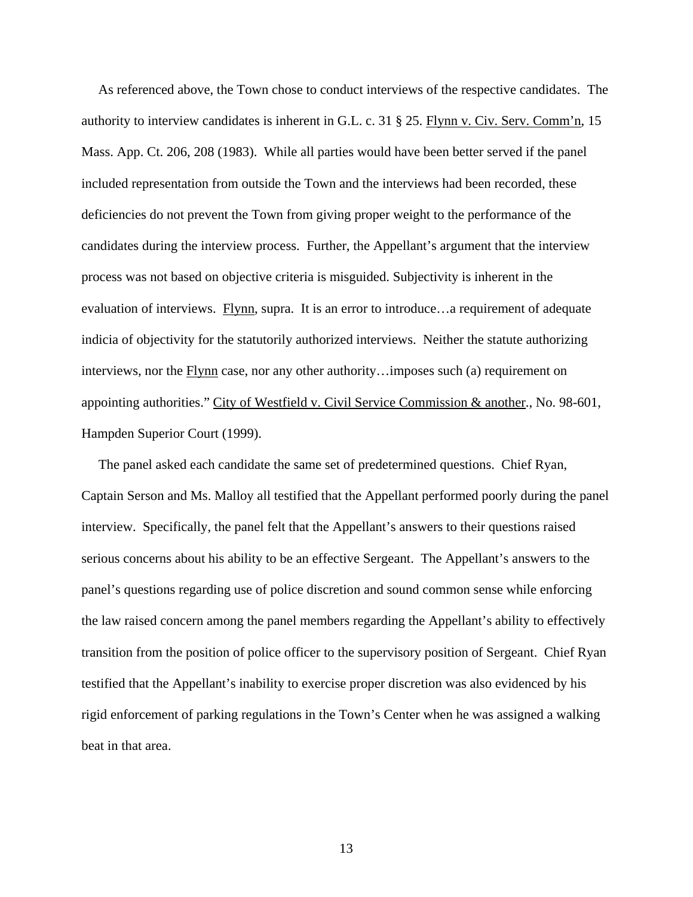As referenced above, the Town chose to conduct interviews of the respective candidates. The authority to interview candidates is inherent in G.L. c. 31 § 25. Flynn v. Civ. Serv. Comm'n, 15 Mass. App. Ct. 206, 208 (1983). While all parties would have been better served if the panel included representation from outside the Town and the interviews had been recorded, these deficiencies do not prevent the Town from giving proper weight to the performance of the candidates during the interview process. Further, the Appellant's argument that the interview process was not based on objective criteria is misguided. Subjectivity is inherent in the evaluation of interviews. Flynn, supra. It is an error to introduce…a requirement of adequate indicia of objectivity for the statutorily authorized interviews. Neither the statute authorizing interviews, nor the Flynn case, nor any other authority... imposes such (a) requirement on appointing authorities." City of Westfield v. Civil Service Commission & another., No. 98-601, Hampden Superior Court (1999).

 The panel asked each candidate the same set of predetermined questions. Chief Ryan, Captain Serson and Ms. Malloy all testified that the Appellant performed poorly during the panel interview. Specifically, the panel felt that the Appellant's answers to their questions raised serious concerns about his ability to be an effective Sergeant. The Appellant's answers to the panel's questions regarding use of police discretion and sound common sense while enforcing the law raised concern among the panel members regarding the Appellant's ability to effectively transition from the position of police officer to the supervisory position of Sergeant. Chief Ryan testified that the Appellant's inability to exercise proper discretion was also evidenced by his rigid enforcement of parking regulations in the Town's Center when he was assigned a walking beat in that area.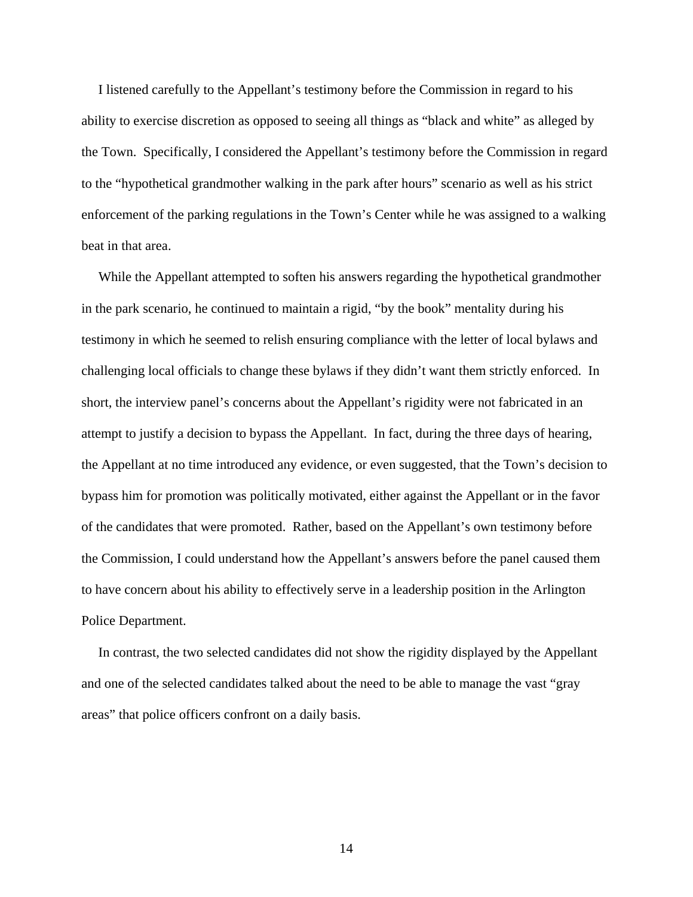I listened carefully to the Appellant's testimony before the Commission in regard to his ability to exercise discretion as opposed to seeing all things as "black and white" as alleged by the Town. Specifically, I considered the Appellant's testimony before the Commission in regard to the "hypothetical grandmother walking in the park after hours" scenario as well as his strict enforcement of the parking regulations in the Town's Center while he was assigned to a walking beat in that area.

 While the Appellant attempted to soften his answers regarding the hypothetical grandmother in the park scenario, he continued to maintain a rigid, "by the book" mentality during his testimony in which he seemed to relish ensuring compliance with the letter of local bylaws and challenging local officials to change these bylaws if they didn't want them strictly enforced. In short, the interview panel's concerns about the Appellant's rigidity were not fabricated in an attempt to justify a decision to bypass the Appellant. In fact, during the three days of hearing, the Appellant at no time introduced any evidence, or even suggested, that the Town's decision to bypass him for promotion was politically motivated, either against the Appellant or in the favor of the candidates that were promoted. Rather, based on the Appellant's own testimony before the Commission, I could understand how the Appellant's answers before the panel caused them to have concern about his ability to effectively serve in a leadership position in the Arlington Police Department.

 In contrast, the two selected candidates did not show the rigidity displayed by the Appellant and one of the selected candidates talked about the need to be able to manage the vast "gray areas" that police officers confront on a daily basis.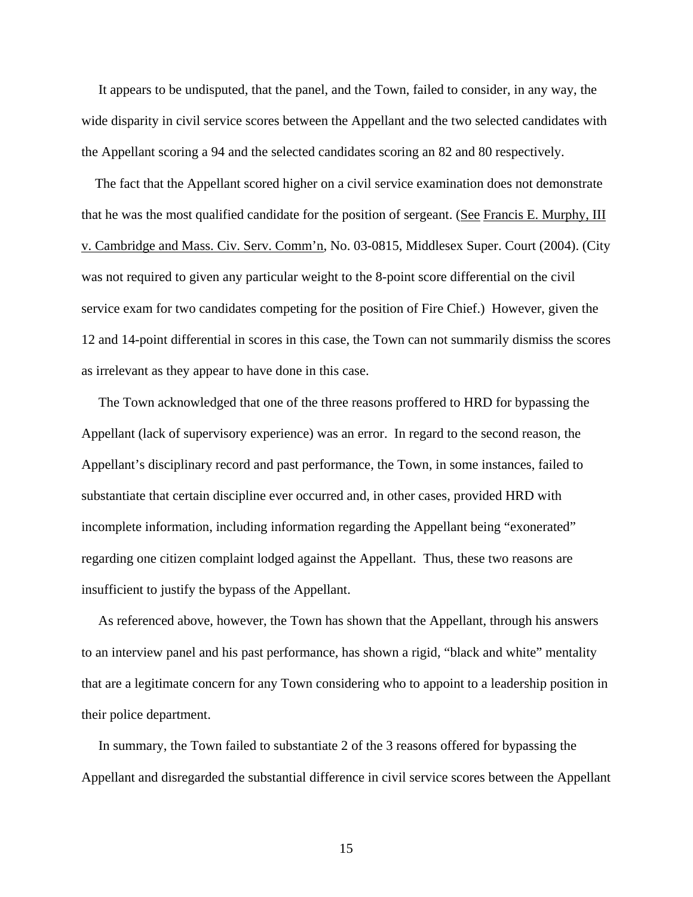It appears to be undisputed, that the panel, and the Town, failed to consider, in any way, the wide disparity in civil service scores between the Appellant and the two selected candidates with the Appellant scoring a 94 and the selected candidates scoring an 82 and 80 respectively.

 The fact that the Appellant scored higher on a civil service examination does not demonstrate that he was the most qualified candidate for the position of sergeant. (See Francis E. Murphy, III v. Cambridge and Mass. Civ. Serv. Comm'n, No. 03-0815, Middlesex Super. Court (2004). (City was not required to given any particular weight to the 8-point score differential on the civil service exam for two candidates competing for the position of Fire Chief.) However, given the 12 and 14-point differential in scores in this case, the Town can not summarily dismiss the scores as irrelevant as they appear to have done in this case.

 The Town acknowledged that one of the three reasons proffered to HRD for bypassing the Appellant (lack of supervisory experience) was an error. In regard to the second reason, the Appellant's disciplinary record and past performance, the Town, in some instances, failed to substantiate that certain discipline ever occurred and, in other cases, provided HRD with incomplete information, including information regarding the Appellant being "exonerated" regarding one citizen complaint lodged against the Appellant. Thus, these two reasons are insufficient to justify the bypass of the Appellant.

 As referenced above, however, the Town has shown that the Appellant, through his answers to an interview panel and his past performance, has shown a rigid, "black and white" mentality that are a legitimate concern for any Town considering who to appoint to a leadership position in their police department.

 In summary, the Town failed to substantiate 2 of the 3 reasons offered for bypassing the Appellant and disregarded the substantial difference in civil service scores between the Appellant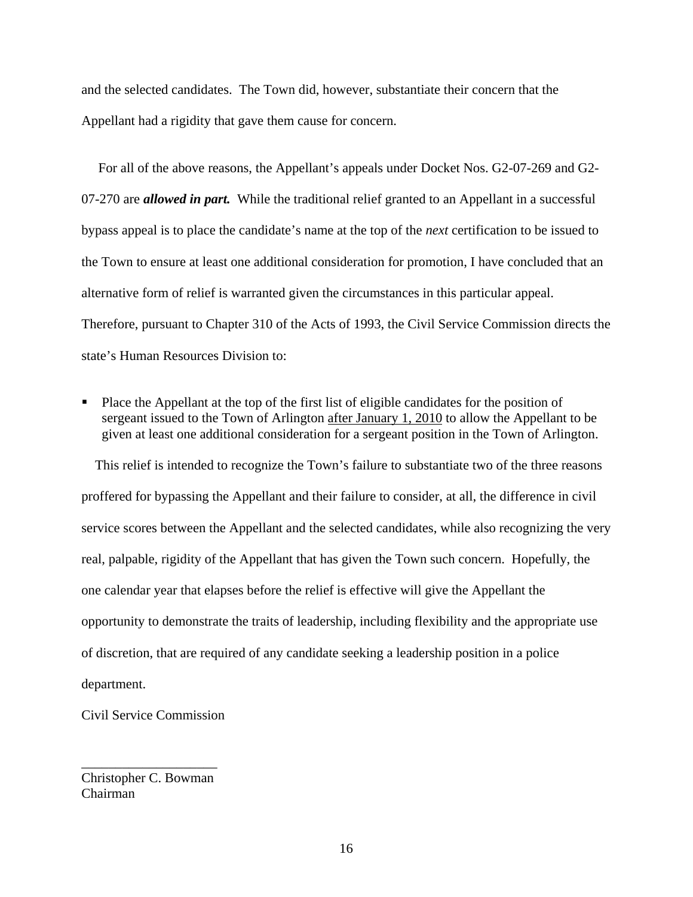and the selected candidates. The Town did, however, substantiate their concern that the Appellant had a rigidity that gave them cause for concern.

 For all of the above reasons, the Appellant's appeals under Docket Nos. G2-07-269 and G2- 07-270 are *allowed in part.* While the traditional relief granted to an Appellant in a successful bypass appeal is to place the candidate's name at the top of the *next* certification to be issued to the Town to ensure at least one additional consideration for promotion, I have concluded that an alternative form of relief is warranted given the circumstances in this particular appeal. Therefore, pursuant to Chapter 310 of the Acts of 1993, the Civil Service Commission directs the state's Human Resources Division to:

 Place the Appellant at the top of the first list of eligible candidates for the position of sergeant issued to the Town of Arlington after January 1, 2010 to allow the Appellant to be given at least one additional consideration for a sergeant position in the Town of Arlington.

 This relief is intended to recognize the Town's failure to substantiate two of the three reasons proffered for bypassing the Appellant and their failure to consider, at all, the difference in civil service scores between the Appellant and the selected candidates, while also recognizing the very real, palpable, rigidity of the Appellant that has given the Town such concern. Hopefully, the one calendar year that elapses before the relief is effective will give the Appellant the opportunity to demonstrate the traits of leadership, including flexibility and the appropriate use of discretion, that are required of any candidate seeking a leadership position in a police department.

Civil Service Commission

Christopher C. Bowman Chairman

\_\_\_\_\_\_\_\_\_\_\_\_\_\_\_\_\_\_\_\_